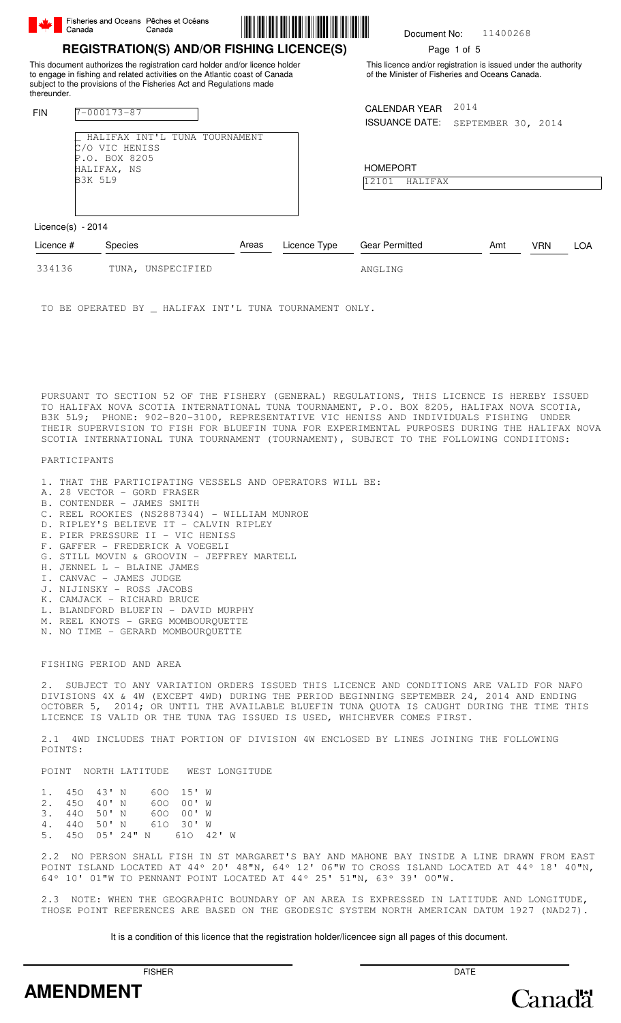|             | Fisheries and Oceans Pêches et Océans<br>Canada         | Canada                                                                                                                                                                                                                                                                                |       |              | Document No:                                                                                                      |                            | 11400268 |            |            |
|-------------|---------------------------------------------------------|---------------------------------------------------------------------------------------------------------------------------------------------------------------------------------------------------------------------------------------------------------------------------------------|-------|--------------|-------------------------------------------------------------------------------------------------------------------|----------------------------|----------|------------|------------|
| thereunder. |                                                         | <b>REGISTRATION(S) AND/OR FISHING LICENCE(S)</b><br>This document authorizes the registration card holder and/or licence holder<br>to engage in fishing and related activities on the Atlantic coast of Canada<br>subject to the provisions of the Fisheries Act and Regulations made |       |              | This licence and/or registration is issued under the authority<br>of the Minister of Fisheries and Oceans Canada. | Page 1 of 5                |          |            |            |
| <b>FIN</b>  | $7 - 000173 - 87$<br>HALIFAX INT'L<br>VIC HENISS<br>′ റ | TUNA TOURNAMENT                                                                                                                                                                                                                                                                       |       |              | <b>CALENDAR YEAR</b><br><b>ISSUANCE DATE:</b>                                                                     | 2014<br>SEPTEMBER 30, 2014 |          |            |            |
|             | P.O. BOX 8205<br>HALIFAX, NS<br><b>B3K 5L9</b>          |                                                                                                                                                                                                                                                                                       |       |              | <b>HOMEPORT</b><br>12101<br>HALIFAX                                                                               |                            |          |            |            |
|             | Licence $(s)$ - 2014                                    |                                                                                                                                                                                                                                                                                       |       |              |                                                                                                                   |                            |          |            |            |
| Licence #   | Species                                                 |                                                                                                                                                                                                                                                                                       | Areas | Licence Type | <b>Gear Permitted</b>                                                                                             | Amt                        |          | <b>VRN</b> | <b>LOA</b> |
| 334136      |                                                         | TUNA, UNSPECIFIED                                                                                                                                                                                                                                                                     |       |              | ANGLING                                                                                                           |                            |          |            |            |

TO BE OPERATED BY \_ HALIFAX INT'L TUNA TOURNAMENT ONLY.

PURSUANT TO SECTION 52 OF THE FISHERY (GENERAL) REGULATIONS, THIS LICENCE IS HEREBY ISSUED TO HALIFAX NOVA SCOTIA INTERNATIONAL TUNA TOURNAMENT, P.O. BOX 8205, HALIFAX NOVA SCOTIA, B3K 5L9; PHONE: 902-820-3100, REPRESENTATIVE VIC HENISS AND INDIVIDUALS FISHING UNDER THEIR SUPERVISION TO FISH FOR BLUEFIN TUNA FOR EXPERIMENTAL PURPOSES DURING THE HALIFAX NOVA SCOTIA INTERNATIONAL TUNA TOURNAMENT (TOURNAMENT), SUBJECT TO THE FOLLOWING CONDIITONS:

PARTICIPANTS

- 1. THAT THE PARTICIPATING VESSELS AND OPERATORS WILL BE:
- A. 28 VECTOR GORD FRASER
- B. CONTENDER JAMES SMITH
- C. REEL ROOKIES (NS2887344) WILLIAM MUNROE
- D. RIPLEY'S BELIEVE IT CALVIN RIPLEY
- E. PIER PRESSURE II VIC HENISS
- F. GAFFER FREDERICK A VOEGELI
- G. STILL MOVIN & GROOVIN JEFFREY MARTELL
- H. JENNEL L BLAINE JAMES
- I. CANVAC JAMES JUDGE
- J. NIJINSKY ROSS JACOBS
- K. CAMJACK RICHARD BRUCE
- L. BLANDFORD BLUEFIN DAVID MURPHY
- M. REEL KNOTS GREG MOMBOURQUETTE
- N. NO TIME GERARD MOMBOURQUETTE

FISHING PERIOD AND AREA

2. SUBJECT TO ANY VARIATION ORDERS ISSUED THIS LICENCE AND CONDITIONS ARE VALID FOR NAFO DIVISIONS 4X & 4W (EXCEPT 4WD) DURING THE PERIOD BEGINNING SEPTEMBER 24, 2014 AND ENDING OCTOBER 5, 2014; OR UNTIL THE AVAILABLE BLUEFIN TUNA QUOTA IS CAUGHT DURING THE TIME THIS LICENCE IS VALID OR THE TUNA TAG ISSUED IS USED, WHICHEVER COMES FIRST.

2.1 4WD INCLUDES THAT PORTION OF DIVISION 4W ENCLOSED BY LINES JOINING THE FOLLOWING POINTS:

POINT NORTH LATITUDE WEST LONGITUDE

| 1. $450$ $43'$ N |  |                            | 600 15' W |  |
|------------------|--|----------------------------|-----------|--|
| $2.45040'$ N     |  |                            | 600 00'W  |  |
| $3.440.50$ N     |  |                            | 600 00'W  |  |
|                  |  | 4, 440 50'N 610 30'W       |           |  |
|                  |  | 5. 450 05' 24" N 610 42' W |           |  |

2.2 NO PERSON SHALL FISH IN ST MARGARET'S BAY AND MAHONE BAY INSIDE A LINE DRAWN FROM EAST POINT ISLAND LOCATED AT 44º 20' 48"N, 64º 12' 06"W TO CROSS ISLAND LOCATED AT 44º 18' 40"N, 64º 10' 01"W TO PENNANT POINT LOCATED AT 44º 25' 51"N, 63º 39' 00"W.

2.3 NOTE: WHEN THE GEOGRAPHIC BOUNDARY OF AN AREA IS EXPRESSED IN LATITUDE AND LONGITUDE, THOSE POINT REFERENCES ARE BASED ON THE GEODESIC SYSTEM NORTH AMERICAN DATUM 1927 (NAD27).

It is a condition of this licence that the registration holder/licencee sign all pages of this document.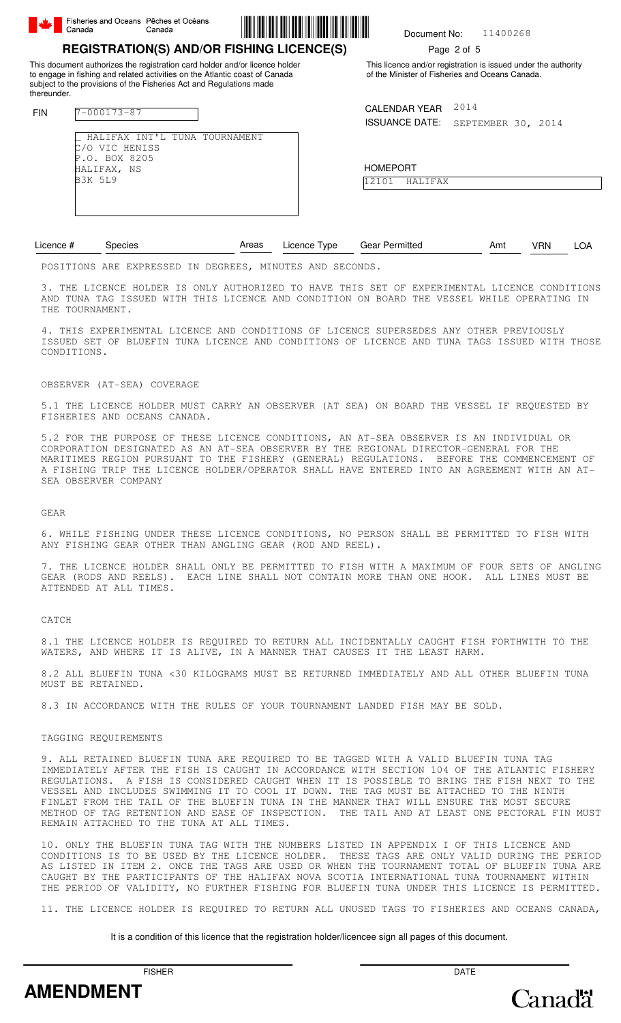

FIN 7-000173-87

thereunder.

C/O VIC HENISS P.O. BOX 8205 HALIFAX, NS B3K 5L9



#### 11400268 Document No:

# Page 2 of 5

This licence and/or registration is issued under the authority of the Minister of Fisheries and Oceans Canada.

CALENDAR YEAR 2014

ISSUANCE DATE: SEPTEMBER 30, 2014

HOMEPORT 12101 HALIFAX

| Licence # | necies                             | Areas | Licence Type | <b>Gear Permitted</b> | Amt | /RN |  |
|-----------|------------------------------------|-------|--------------|-----------------------|-----|-----|--|
|           | DAATETAHA SEE EURREAARD TH BEARERA |       | $\cdots$     |                       |     |     |  |

POSITIONS ARE EXPRESSED IN DEGREES, MINUTES AND SECONDS.

\_ HALIFAX INT'L TUNA TOURNAMENT

This document authorizes the registration card holder and/or licence holder to engage in fishing and related activities on the Atlantic coast of Canada subject to the provisions of the Fisheries Act and Regulations made

**REGISTRATION(S) AND/OR FISHING LICENCE(S)**

3. THE LICENCE HOLDER IS ONLY AUTHORIZED TO HAVE THIS SET OF EXPERIMENTAL LICENCE CONDITIONS AND TUNA TAG ISSUED WITH THIS LICENCE AND CONDITION ON BOARD THE VESSEL WHILE OPERATING IN THE TOURNAMENT.

4. THIS EXPERIMENTAL LICENCE AND CONDITIONS OF LICENCE SUPERSEDES ANY OTHER PREVIOUSLY ISSUED SET OF BLUEFIN TUNA LICENCE AND CONDITIONS OF LICENCE AND TUNA TAGS ISSUED WITH THOSE CONDITIONS.

#### OBSERVER (AT-SEA) COVERAGE

5.1 THE LICENCE HOLDER MUST CARRY AN OBSERVER (AT SEA) ON BOARD THE VESSEL IF REQUESTED BY FISHERIES AND OCEANS CANADA.

5.2 FOR THE PURPOSE OF THESE LICENCE CONDITIONS, AN AT-SEA OBSERVER IS AN INDIVIDUAL OR CORPORATION DESIGNATED AS AN AT-SEA OBSERVER BY THE REGIONAL DIRECTOR-GENERAL FOR THE MARITIMES REGION PURSUANT TO THE FISHERY (GENERAL) REGULATIONS. BEFORE THE COMMENCEMENT OF A FISHING TRIP THE LICENCE HOLDER/OPERATOR SHALL HAVE ENTERED INTO AN AGREEMENT WITH AN AT-SEA OBSERVER COMPANY

GEAR

6. WHILE FISHING UNDER THESE LICENCE CONDITIONS, NO PERSON SHALL BE PERMITTED TO FISH WITH ANY FISHING GEAR OTHER THAN ANGLING GEAR (ROD AND REEL).

7. THE LICENCE HOLDER SHALL ONLY BE PERMITTED TO FISH WITH A MAXIMUM OF FOUR SETS OF ANGLING<br>GEAR (RODS AND REELS). EACH LINE SHALL NOT CONTAIN MORE THAN ONE HOOK. ALL LINES MUST BE EACH LINE SHALL NOT CONTAIN MORE THAN ONE HOOK. ALL LINES MUST BE ATTENDED AT ALL TIMES.

CATCH

8.1 THE LICENCE HOLDER IS REQUIRED TO RETURN ALL INCIDENTALLY CAUGHT FISH FORTHWITH TO THE WATERS, AND WHERE IT IS ALIVE, IN A MANNER THAT CAUSES IT THE LEAST HARM.

8.2 ALL BLUEFIN TUNA <30 KILOGRAMS MUST BE RETURNED IMMEDIATELY AND ALL OTHER BLUEFIN TUNA MUST BE RETAINED.

8.3 IN ACCORDANCE WITH THE RULES OF YOUR TOURNAMENT LANDED FISH MAY BE SOLD.

TAGGING REQUIREMENTS

9. ALL RETAINED BLUEFIN TUNA ARE REQUIRED TO BE TAGGED WITH A VALID BLUEFIN TUNA TAG IMMEDIATELY AFTER THE FISH IS CAUGHT IN ACCORDANCE WITH SECTION 104 OF THE ATLANTIC FISHERY REGULATIONS. A FISH IS CONSIDERED CAUGHT WHEN IT IS POSSIBLE TO BRING THE FISH NEXT TO THE VESSEL AND INCLUDES SWIMMING IT TO COOL IT DOWN. THE TAG MUST BE ATTACHED TO THE NINTH FINLET FROM THE TAIL OF THE BLUEFIN TUNA IN THE MANNER THAT WILL ENSURE THE MOST SECURE METHOD OF TAG RETENTION AND EASE OF INSPECTION. THE TAIL AND AT LEAST ONE PECTORAL FIN MUST REMAIN ATTACHED TO THE TUNA AT ALL TIMES.

10. ONLY THE BLUEFIN TUNA TAG WITH THE NUMBERS LISTED IN APPENDIX I OF THIS LICENCE AND CONDITIONS IS TO BE USED BY THE LICENCE HOLDER. THESE TAGS ARE ONLY VALID DURING THE PERIOD AS LISTED IN ITEM 2. ONCE THE TAGS ARE USED OR WHEN THE TOURNAMENT TOTAL OF BLUEFIN TUNA ARE CAUGHT BY THE PARTICIPANTS OF THE HALIFAX NOVA SCOTIA INTERNATIONAL TUNA TOURNAMENT WITHIN THE PERIOD OF VALIDITY, NO FURTHER FISHING FOR BLUEFIN TUNA UNDER THIS LICENCE IS PERMITTED.

11. THE LICENCE HOLDER IS REQUIRED TO RETURN ALL UNUSED TAGS TO FISHERIES AND OCEANS CANADA,

### It is a condition of this licence that the registration holder/licencee sign all pages of this document.



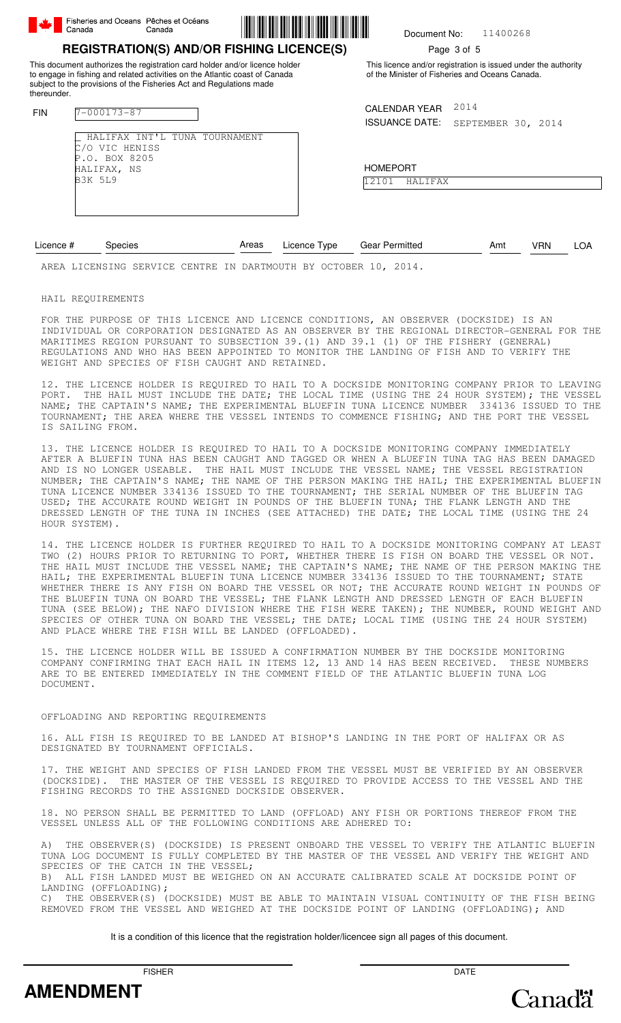| <b>REGISTRATION(S) AND/OR FISHING LICENCE(S)</b>       |  |
|--------------------------------------------------------|--|
| Fisheries and Oceans Pêches et Océans<br>Canada Canada |  |

This document authorizes the registration card holder and/or licence holder to engage in fishing and related activities on the Atlantic coast of Canada subject to the provisions of the Fisheries Act and Regulations made

\_ HALIFAX INT'L TUNA TOURNAMENT



11400268 Document No:

# Page 3 of 5

This licence and/or registration is issued under the authority of the Minister of Fisheries and Oceans Canada.

CALENDAR YEAR 2014

ISSUANCE DATE: SEPTEMBER 30, 2014

HOMEPORT 12101 HALIFAX

Licence # Species **Areas** Licence Type Gear Permitted **Amt** VRN LOA Areas

AREA LICENSING SERVICE CENTRE IN DARTMOUTH BY OCTOBER 10, 2014.

HAIL REQUIREMENTS

FIN 7-000173-87

thereunder.

C/O VIC HENISS P.O. BOX 8205 HALIFAX, NS B3K 5L9

FOR THE PURPOSE OF THIS LICENCE AND LICENCE CONDITIONS, AN OBSERVER (DOCKSIDE) IS AN INDIVIDUAL OR CORPORATION DESIGNATED AS AN OBSERVER BY THE REGIONAL DIRECTOR-GENERAL FOR THE MARITIMES REGION PURSUANT TO SUBSECTION 39.(1) AND 39.1 (1) OF THE FISHERY (GENERAL) REGULATIONS AND WHO HAS BEEN APPOINTED TO MONITOR THE LANDING OF FISH AND TO VERIFY THE WEIGHT AND SPECIES OF FISH CAUGHT AND RETAINED.

12. THE LICENCE HOLDER IS REQUIRED TO HAIL TO A DOCKSIDE MONITORING COMPANY PRIOR TO LEAVING PORT. THE HAIL MUST INCLUDE THE DATE; THE LOCAL TIME (USING THE 24 HOUR SYSTEM); THE VESSEL NAME; THE CAPTAIN'S NAME; THE EXPERIMENTAL BLUEFIN TUNA LICENCE NUMBER 334136 ISSUED TO THE TOURNAMENT; THE AREA WHERE THE VESSEL INTENDS TO COMMENCE FISHING; AND THE PORT THE VESSEL IS SAILING FROM.

13. THE LICENCE HOLDER IS REQUIRED TO HAIL TO A DOCKSIDE MONITORING COMPANY IMMEDIATELY AFTER A BLUEFIN TUNA HAS BEEN CAUGHT AND TAGGED OR WHEN A BLUEFIN TUNA TAG HAS BEEN DAMAGED AND IS NO LONGER USEABLE. THE HAIL MUST INCLUDE THE VESSEL NAME; THE VESSEL REGISTRATION NUMBER; THE CAPTAIN'S NAME; THE NAME OF THE PERSON MAKING THE HAIL; THE EXPERIMENTAL BLUEFIN TUNA LICENCE NUMBER 334136 ISSUED TO THE TOURNAMENT; THE SERIAL NUMBER OF THE BLUEFIN TAG USED; THE ACCURATE ROUND WEIGHT IN POUNDS OF THE BLUEFIN TUNA; THE FLANK LENGTH AND THE DRESSED LENGTH OF THE TUNA IN INCHES (SEE ATTACHED) THE DATE; THE LOCAL TIME (USING THE 24 HOUR SYSTEM).

14. THE LICENCE HOLDER IS FURTHER REQUIRED TO HAIL TO A DOCKSIDE MONITORING COMPANY AT LEAST TWO (2) HOURS PRIOR TO RETURNING TO PORT, WHETHER THERE IS FISH ON BOARD THE VESSEL OR NOT. THE HAIL MUST INCLUDE THE VESSEL NAME; THE CAPTAIN'S NAME; THE NAME OF THE PERSON MAKING THE HAIL; THE EXPERIMENTAL BLUEFIN TUNA LICENCE NUMBER 334136 ISSUED TO THE TOURNAMENT; STATE WHETHER THERE IS ANY FISH ON BOARD THE VESSEL OR NOT; THE ACCURATE ROUND WEIGHT IN POUNDS OF THE BLUEFIN TUNA ON BOARD THE VESSEL; THE FLANK LENGTH AND DRESSED LENGTH OF EACH BLUEFIN TUNA (SEE BELOW); THE NAFO DIVISION WHERE THE FISH WERE TAKEN); THE NUMBER, ROUND WEIGHT AND SPECIES OF OTHER TUNA ON BOARD THE VESSEL; THE DATE; LOCAL TIME (USING THE 24 HOUR SYSTEM) AND PLACE WHERE THE FISH WILL BE LANDED (OFFLOADED).

15. THE LICENCE HOLDER WILL BE ISSUED A CONFIRMATION NUMBER BY THE DOCKSIDE MONITORING COMPANY CONFIRMING THAT EACH HAIL IN ITEMS 12, 13 AND 14 HAS BEEN RECEIVED. THESE NUMBERS ARE TO BE ENTERED IMMEDIATELY IN THE COMMENT FIELD OF THE ATLANTIC BLUEFIN TUNA LOG DOCUMENT.

## OFFLOADING AND REPORTING REQUIREMENTS

16. ALL FISH IS REQUIRED TO BE LANDED AT BISHOP'S LANDING IN THE PORT OF HALIFAX OR AS DESIGNATED BY TOURNAMENT OFFICIALS.

17. THE WEIGHT AND SPECIES OF FISH LANDED FROM THE VESSEL MUST BE VERIFIED BY AN OBSERVER (DOCKSIDE). THE MASTER OF THE VESSEL IS REQUIRED TO PROVIDE ACCESS TO THE VESSEL AND THE FISHING RECORDS TO THE ASSIGNED DOCKSIDE OBSERVER.

18. NO PERSON SHALL BE PERMITTED TO LAND (OFFLOAD) ANY FISH OR PORTIONS THEREOF FROM THE VESSEL UNLESS ALL OF THE FOLLOWING CONDITIONS ARE ADHERED TO:

A) THE OBSERVER(S) (DOCKSIDE) IS PRESENT ONBOARD THE VESSEL TO VERIFY THE ATLANTIC BLUEFIN TUNA LOG DOCUMENT IS FULLY COMPLETED BY THE MASTER OF THE VESSEL AND VERIFY THE WEIGHT AND SPECIES OF THE CATCH IN THE VESSEL;

B) ALL FISH LANDED MUST BE WEIGHED ON AN ACCURATE CALIBRATED SCALE AT DOCKSIDE POINT OF LANDING (OFFLOADING);

C) THE OBSERVER(S) (DOCKSIDE) MUST BE ABLE TO MAINTAIN VISUAL CONTINUITY OF THE FISH BEING REMOVED FROM THE VESSEL AND WEIGHED AT THE DOCKSIDE POINT OF LANDING (OFFLOADING); AND

It is a condition of this licence that the registration holder/licencee sign all pages of this document.



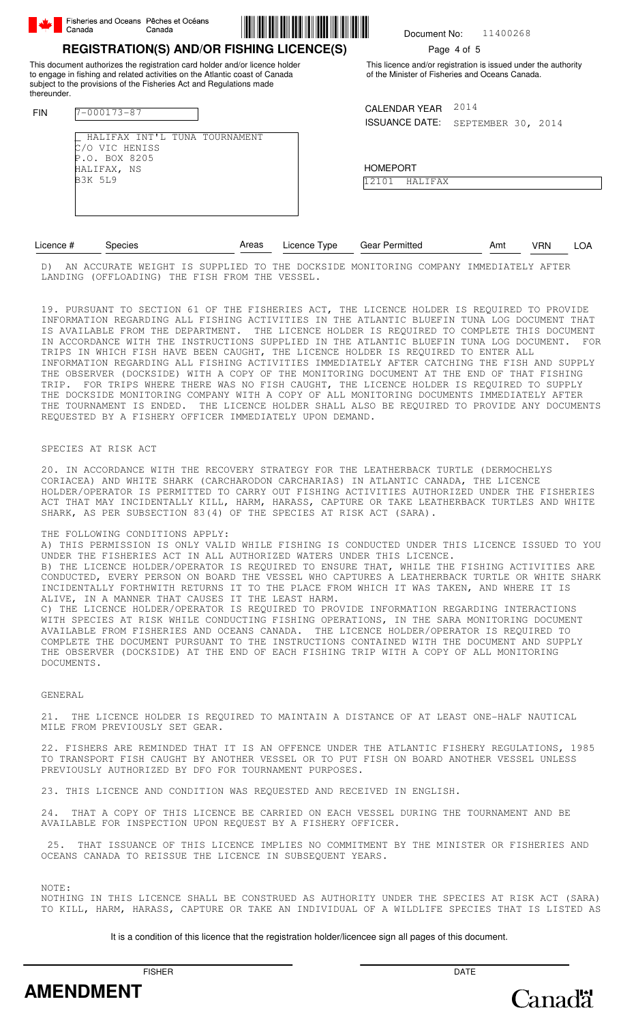|             | Fishenes and Oceans Peches et Oceans<br>Canada                         | Canada                                                                                                                                                                                                                            |  | Document No:                                                                                                      |             | 11400268           |  |
|-------------|------------------------------------------------------------------------|-----------------------------------------------------------------------------------------------------------------------------------------------------------------------------------------------------------------------------------|--|-------------------------------------------------------------------------------------------------------------------|-------------|--------------------|--|
|             |                                                                        | <b>REGISTRATION(S) AND/OR FISHING LICENCE(S)</b>                                                                                                                                                                                  |  |                                                                                                                   | Page 4 of 5 |                    |  |
| thereunder. |                                                                        | This document authorizes the registration card holder and/or licence holder<br>to engage in fishing and related activities on the Atlantic coast of Canada<br>subject to the provisions of the Fisheries Act and Regulations made |  | This licence and/or registration is issued under the authority<br>of the Minister of Fisheries and Oceans Canada. |             |                    |  |
| <b>FIN</b>  | $7 - 000173 - 87$                                                      |                                                                                                                                                                                                                                   |  | <b>CALENDAR YEAR</b><br><b>ISSUANCE DATE:</b>                                                                     | 2014        | SEPTEMBER 30, 2014 |  |
|             | VIC HENISS<br>'Ω<br>.O. BOX 8205<br>P<br>HALIFAX, NS<br><b>B3K 5L9</b> | HALIFAX INT'L TUNA TOURNAMENT                                                                                                                                                                                                     |  | <b>HOMEPORT</b><br>12101<br>HALIFAX                                                                               |             |                    |  |

\*700017387\*

| Licence # |    |                   | pecies |  | Areas    |           | Licence Type | Gear Permitted |                             | Amt | /RN         | LOA.  |  |  |
|-----------|----|-------------------|--------|--|----------|-----------|--------------|----------------|-----------------------------|-----|-------------|-------|--|--|
|           | ΑN | '('I I R A 'I' F. | WEIGHT |  | SIIPPI.I | ா∩<br>ED. | THE.         |                | DOCKSIDE MONITORING COMPANY |     | TMMEDIATELY | AFTER |  |  |

MONITORING COMPANY IMMEDIATELY AF LANDING (OFFLOADING) THE FISH FROM THE VESSEL.

19. PURSUANT TO SECTION 61 OF THE FISHERIES ACT, THE LICENCE HOLDER IS REQUIRED TO PROVIDE INFORMATION REGARDING ALL FISHING ACTIVITIES IN THE ATLANTIC BLUEFIN TUNA LOG DOCUMENT THAT IS AVAILABLE FROM THE DEPARTMENT. THE LICENCE HOLDER IS REQUIRED TO COMPLETE THIS DOCUMENT IN ACCORDANCE WITH THE INSTRUCTIONS SUPPLIED IN THE ATLANTIC BLUEFIN TUNA LOG DOCUMENT. FOR TRIPS IN WHICH FISH HAVE BEEN CAUGHT, THE LICENCE HOLDER IS REQUIRED TO ENTER ALL INFORMATION REGARDING ALL FISHING ACTIVITIES IMMEDIATELY AFTER CATCHING THE FISH AND SUPPLY THE OBSERVER (DOCKSIDE) WITH A COPY OF THE MONITORING DOCUMENT AT THE END OF THAT FISHING TRIP. FOR TRIPS WHERE THERE WAS NO FISH CAUGHT, THE LICENCE HOLDER IS REQUIRED TO SUPPLY THE DOCKSIDE MONITORING COMPANY WITH A COPY OF ALL MONITORING DOCUMENTS IMMEDIATELY AFTER THE TOURNAMENT IS ENDED. THE LICENCE HOLDER SHALL ALSO BE REQUIRED TO PROVIDE ANY DOCUMENTS REQUESTED BY A FISHERY OFFICER IMMEDIATELY UPON DEMAND.

## SPECIES AT RISK ACT

20. IN ACCORDANCE WITH THE RECOVERY STRATEGY FOR THE LEATHERBACK TURTLE (DERMOCHELYS CORIACEA) AND WHITE SHARK (CARCHARODON CARCHARIAS) IN ATLANTIC CANADA, THE LICENCE HOLDER/OPERATOR IS PERMITTED TO CARRY OUT FISHING ACTIVITIES AUTHORIZED UNDER THE FISHERIES ACT THAT MAY INCIDENTALLY KILL, HARM, HARASS, CAPTURE OR TAKE LEATHERBACK TURTLES AND WHITE SHARK, AS PER SUBSECTION 83(4) OF THE SPECIES AT RISK ACT (SARA).

## THE FOLLOWING CONDITIONS APPLY:

Fisheries and Oceans Pêches et Océans

A) THIS PERMISSION IS ONLY VALID WHILE FISHING IS CONDUCTED UNDER THIS LICENCE ISSUED TO YOU UNDER THE FISHERIES ACT IN ALL AUTHORIZED WATERS UNDER THIS LICENCE. B) THE LICENCE HOLDER/OPERATOR IS REQUIRED TO ENSURE THAT, WHILE THE FISHING ACTIVITIES ARE CONDUCTED, EVERY PERSON ON BOARD THE VESSEL WHO CAPTURES A LEATHERBACK TURTLE OR WHITE SHARK INCIDENTALLY FORTHWITH RETURNS IT TO THE PLACE FROM WHICH IT WAS TAKEN, AND WHERE IT IS ALIVE, IN A MANNER THAT CAUSES IT THE LEAST HARM. C) THE LICENCE HOLDER/OPERATOR IS REQUIRED TO PROVIDE INFORMATION REGARDING INTERACTIONS WITH SPECIES AT RISK WHILE CONDUCTING FISHING OPERATIONS, IN THE SARA MONITORING DOCUMENT AVAILABLE FROM FISHERIES AND OCEANS CANADA. THE LICENCE HOLDER/OPERATOR IS REQUIRED TO COMPLETE THE DOCUMENT PURSUANT TO THE INSTRUCTIONS CONTAINED WITH THE DOCUMENT AND SUPPLY THE OBSERVER (DOCKSIDE) AT THE END OF EACH FISHING TRIP WITH A COPY OF ALL MONITORING DOCUMENTS.

## GENERAL

21. THE LICENCE HOLDER IS REQUIRED TO MAINTAIN A DISTANCE OF AT LEAST ONE-HALF NAUTICAL MILE FROM PREVIOUSLY SET GEAR.

22. FISHERS ARE REMINDED THAT IT IS AN OFFENCE UNDER THE ATLANTIC FISHERY REGULATIONS, 1985 TO TRANSPORT FISH CAUGHT BY ANOTHER VESSEL OR TO PUT FISH ON BOARD ANOTHER VESSEL UNLESS PREVIOUSLY AUTHORIZED BY DFO FOR TOURNAMENT PURPOSES.

23. THIS LICENCE AND CONDITION WAS REQUESTED AND RECEIVED IN ENGLISH.

24. THAT A COPY OF THIS LICENCE BE CARRIED ON EACH VESSEL DURING THE TOURNAMENT AND BE AVAILABLE FOR INSPECTION UPON REQUEST BY A FISHERY OFFICER.

THAT ISSUANCE OF THIS LICENCE IMPLIES NO COMMITMENT BY THE MINISTER OR FISHERIES AND OCEANS CANADA TO REISSUE THE LICENCE IN SUBSEQUENT YEARS.

NOTE:

NOTHING IN THIS LICENCE SHALL BE CONSTRUED AS AUTHORITY UNDER THE SPECIES AT RISK ACT (SARA) TO KILL, HARM, HARASS, CAPTURE OR TAKE AN INDIVIDUAL OF A WILDLIFE SPECIES THAT IS LISTED AS

# It is a condition of this licence that the registration holder/licencee sign all pages of this document.